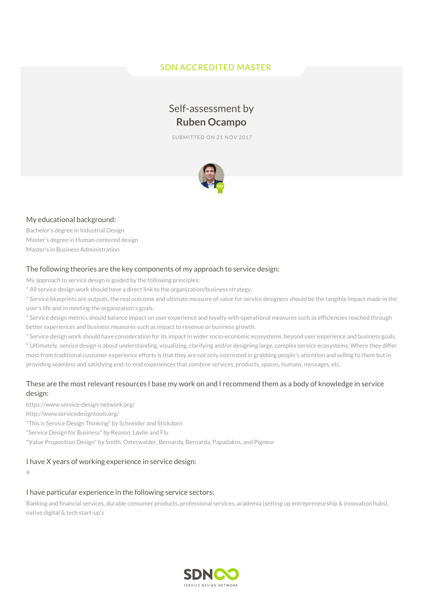# SDN ACCREDITED MASTER

# Self-assessment by **Ruben Ocampo**

SUBMITTED ON 21 NOV 2017



### My educational background:

Bachelor's degree in Industrial Design Master's degree in Human-centered design Master's in Business Administration

#### The following theories are the key components of my approach to service design:

My approach to service design is guided by the following principles:

\* All service design work should have a direct link to the organization/business strategy.

\* Service blueprints are outputs, the real outcome and ultimate measure of value for service designers should be the tangible impact made in the user's life and in meeting the organization's goals.

\* Service design metrics should balance impact on user experience and loyalty with operational measures such as efficiencies reached through better experiences and business measures such as impact to revenue or business growth.

\* Service design work should have consideration for its impact in wider socio-economic ecosystems, beyond user experience and business goals.

\* Ultimately, service design is about understanding, visualizing, clarifying and/or designing large, complex service ecosystems. Where they differ most from traditional customer experience efforts is that they are not only interested in grabbing people's attention and selling to them but in providing seamless and satisfying end-to-end experiences that combine services, products, spaces, humans, messages, etc.

## These are the most relevant resources I base my work on and I recommend them as a body of knowledge in service design:

https://www.service-design-network.org/ http://www.servicedesigntools.org/ "This is Service Design Thinking" by Schneider and Stickdorn "Service Design for Business" by Reason, Løvlie and Flu "Value Proposition Design" by Smith, Osterwalder, Bernarda, Bernarda, Papadakos, and Pigneur

#### I have X years of working experience in service design:

9

## I have particular experience in the following service sectors:

Banking and financial services, durable consumer products, professional services, academia (setting up entrepreneurship & innovation hubs), native digital & tech start-up's

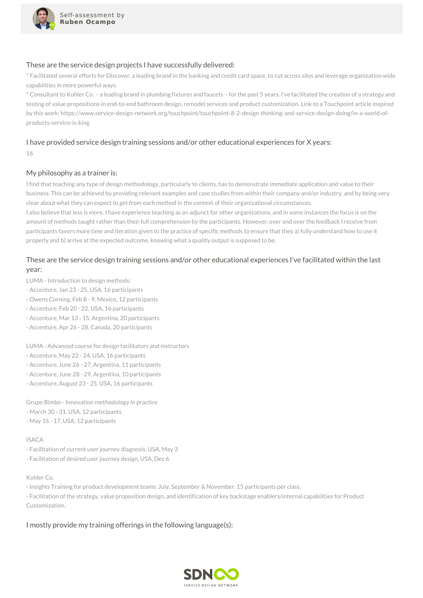

#### These are the service design projects I have successfully delivered:

\* Facilitated several efforts for Discover, a leading brand in the banking and credit card space, to cut across silos and leverage organization wide capabilities in more powerful ways.

\* Consultant to Kohler Co. – a leading brand in plumbing fixtures and faucets – for the past 5 years. I've facilitated the creation of a strategy and testing of value propositions in end-to-end bathroom design, remodel services and product customization. Link to a Touchpoint article inspired by this work: https://www.service-design-network.org/touchpoint/touchpoint-8-2-design-thinking-and-service-design-doing/in-a-world-ofproducts-service-is-king

## I have provided service design training sessions and/or other educational experiences for X years:

16

#### My philosophy as a trainer is:

I find that teaching any type of design methodology, particularly to clients, has to demonstrate immediate application and value to their business. This can be achieved by providing relevant examples and case studies from within their company and/or industry, and by being very clear about what they can expect to get from each method in the context of their organizational circumstances.

I also believe that less is more. I have experience teaching as an adjunct for other organizations, and in some instances the focus is on the amount of methods taught rather than their full comprehension by the participants. However, over and over the feedback I receive from participants favors more time and iteration given to the practice of specific methods to ensure that they a) fully understand how to use it properly and b) arrive at the expected outcome, knowing what a quality output is supposed to be.

## These are the service design training sessions and/or other educational experiences I've facilitated within the last year:

LUMA - Introduction to design methods:

- Accenture, Jan 23 25, USA, 16 participants
- Owens Corning, Feb 8 9, Mexico, 12 participants
- Accenture, Feb 20 22, USA, 16 participants
- Accenture, Mar 13 15, Argentina, 20 participants
- Accenture, Apr 26 28, Canada, 20 participants

LUMA - Advanced course for design facilitators and instructors

- Accenture, May 22 24, USA, 16 participants
- Accenture, June 26 27, Argentina, 11 participants
- Accenture, June 28 29, Argentina, 10 participants
- Accenture, August 23 25, USA, 16 participants

Grupo Bimbo - Innovation methodology in practice - March 30 - 31, USA, 12 participants - May 16 - 17, USA, 12 participants

#### ISACA

- Facilitation of current user journey diagnosis, USA, May 3

- Facilitation of desired user journey design, USA, Dec 6

#### Kohler Co.

- Insights Training for product development teams. July, September & November. 15 participants per class.

- Facilitation of the strategy, value proposition design, and identification of key backstage enablers/internal capabilities for Product Customization.

#### I mostly provide my training offerings in the following language(s):

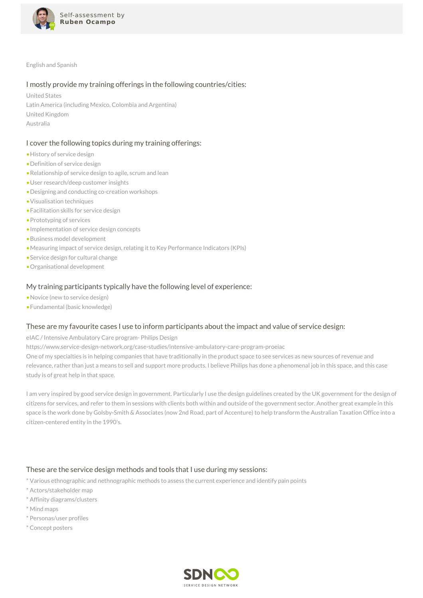

English and Spanish

#### I mostly provide my training offerings in the following countries/cities:

United States Latin America (including Mexico, Colombia and Argentina) United Kingdom Australia

#### I cover the following topics during my training offerings:

- •History of service design
- •Definition of service design
- •Relationship of service design to agile, scrum and lean
- •User research/deep customer insights
- •Designing and conducting co-creation workshops
- •Visualisation techniques
- •Facilitation skills for service design
- •Prototyping of services
- •Implementation of service design concepts
- •Business model development
- •Measuring impact of service design, relating it to Key Performance Indicators (KPIs)
- •Service design for cultural change
- •Organisational development

#### My training participants typically have the following level of experience:

- •Novice (new to service design)
- •Fundamental (basic knowledge)

#### These are my favourite cases I use to inform participants about the impact and value of service design:

eIAC / Intensive Ambulatory Care program- Philips Design

https://www.service-design-network.org/case-studies/intensive-ambulatory-care-program-proeiac

One of my specialties is in helping companies that have traditionally in the product space to see services as new sources of revenue and relevance, rather than just a means to sell and support more products. I believe Philips has done a phenomenal job in this space, and this case study is of great help in that space.

I am very inspired by good service design in government. Particularly I use the design guidelines created by the UK government for the design of citizens for services, and refer to them in sessions with clients both within and outside of the government sector. Another great example in this space is the work done by Golsby-Smith & Associates (now 2nd Road, part of Accenture) to help transform the Australian Taxation Office into a citizen-centered entity in the 1990's.

### These are the service design methods and tools that I use during my sessions:

\* Various ethnographic and nethnographic methods to assess the current experience and identify pain points

- \* Actors/stakeholder map
- \* Affinity diagrams/clusters
- \* Mind maps
- \* Personas/user profiles
- \* Concept posters

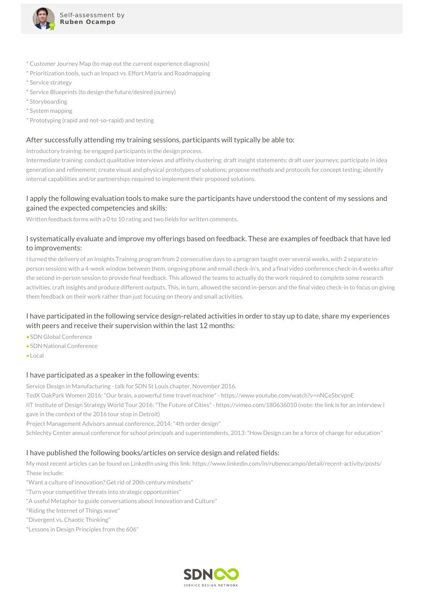

- \* Customer Journey Map (to map out the current experience diagnosis)
- \* Prioritization tools, such as Impact vs. Effort Matrix and Roadmapping
- \* Service strategy
- \* Service Blueprints (to design the future/desired journey)
- \* Storyboarding
- \* System mapping
- \* Prototyping (rapid and not-so-rapid) and testing

#### After successfully attending my training sessions, participants will typically be able to:

Introductory training: be engaged participants in the design process.

Intermediate training: conduct qualitative interviews and affinity clustering; draft insight statements; draft user journeys; participate in idea generation and refinement; create visual and physical prototypes of solutions; propose methods and protocols for concept testing; identify internal capabilities and/or partnerships required to implement their proposed solutions.

## I apply the following evaluation tools to make sure the participants have understood the content of my sessions and gained the expected competencies and skills:

Written feedback forms with a 0 to 10 rating and two fields for written comments.

## I systematically evaluate and improve my offerings based on feedback. These are examples of feedback that have led to improvements:

I turned the delivery of an Insights Training program from 2 consecutive days to a program taught over several weeks, with 2 separate inperson sessions with a 4-week window between them, ongoing phone and email check-in's, and a final video conference check-in 4 weeks after the second in-person session to provide final feedback. This allowed the teams to actually do the work required to complete some research activities, craft insights and produce different outputs. This, in turn, allowed the second in-person and the final video check-in to focus on giving them feedback on their work rather than just focusing on theory and small activities.

## I have participated in the following service design-related activities in order to stay up to date, share my experiences with peers and receive their supervision within the last 12 months:

- •SDN Global Conference
- •SDN National Conference
- •Local

### I have participated as a speaker in the following events:

Service Design in Manufacturing - talk for SDN St Louis chapter, November 2016.

TedX OakPark Women 2016:"Our brain, a powerful time travel machine"- https://www.youtube.com/watch?v=nNCeSbcvpnE

IIT Institute of Design Strategy World Tour 2016:"The Future of Cities"- https://vimeo.com/180636010 (note: the link is for an interview I gave in the context of the 2016 tour stop in Detroit)

Project Management Advisors annual conference, 2014:"4th order design"

Schlechty Center annual conference for school principals and superintendents, 2013:"How Design can be a force of change for education"

### I have published the following books/articles on service design and related fields:

My most recent articles can be found on LinkedIn using this link: https://www.linkedin.com/in/rubenocampo/detail/recent-activity/posts/ These include:

"Want a culture of innovation? Get rid of 20th century mindsets"

"Turn your competitive threats into strategic opportunities"

"A useful Metaphor to guide conversations about Innovation and Culture"

"Riding the Internet of Things wave"

"Divergent vs. Chaotic Thinking"

"Lessons in Design Principles from the 606"